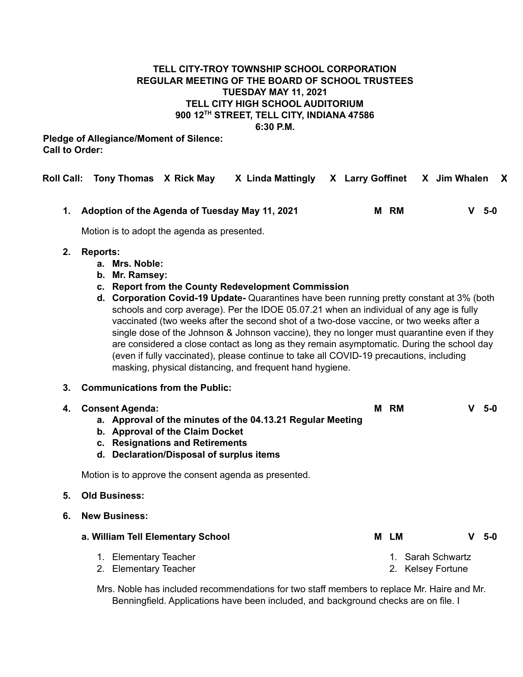### **TELL CITY-TROY TOWNSHIP SCHOOL CORPORATION REGULAR MEETING OF THE BOARD OF SCHOOL TRUSTEES TUESDAY MAY 11, 2021 TELL CITY HIGH SCHOOL AUDITORIUM 900 12 TH STREET, TELL CITY, INDIANA 47586 6:30 P.M.**

### **Pledge of Allegiance/Moment of Silence: Call to Order:**

**Roll Call: Tony Thomas X Rick May X Linda Mattingly X Larry Goffinet X Jim Whalen X**

**1. Adoption of the Agenda of Tuesday May 11, 2021 M RM V 5-0**

Motion is to adopt the agenda as presented.

### **2. Reports:**

- **a. Mrs. Noble:**
- **b. Mr. Ramsey:**
- **c. Report from the County Redevelopment Commission**
- **d. Corporation Covid-19 Update-** Quarantines have been running pretty constant at 3% (both schools and corp average). Per the IDOE 05.07.21 when an individual of any age is fully vaccinated (two weeks after the second shot of a two-dose vaccine, or two weeks after a single dose of the Johnson & Johnson vaccine), they no longer must quarantine even if they are considered a close contact as long as they remain asymptomatic. During the school day (even if fully vaccinated), please continue to take all COVID-19 precautions, including masking, physical distancing, and frequent hand hygiene.

### **3. Communications from the Public:**

| 4. | <b>Consent Agenda:</b><br>a. Approval of the minutes of the 04.13.21 Regular Meeting<br>b. Approval of the Claim Docket<br><b>Resignations and Retirements</b><br>C.<br>d. Declaration/Disposal of surplus items | м | RM   |                                     | 5-0   |
|----|------------------------------------------------------------------------------------------------------------------------------------------------------------------------------------------------------------------|---|------|-------------------------------------|-------|
|    | Motion is to approve the consent agenda as presented.                                                                                                                                                            |   |      |                                     |       |
| 5. | <b>Old Business:</b>                                                                                                                                                                                             |   |      |                                     |       |
| 6. | <b>New Business:</b>                                                                                                                                                                                             |   |      |                                     |       |
|    | a. William Tell Elementary School                                                                                                                                                                                |   | M LM |                                     | $5-0$ |
|    | <b>Elementary Teacher</b><br>1.<br><b>Elementary Teacher</b><br>2.                                                                                                                                               |   |      | Sarah Schwartz<br>2. Kelsey Fortune |       |
|    | Mrs. Noble has included recommendations for two staff members to replace Mr. Haire and Mr.<br>Benningfield. Applications have been included, and background checks are on file. I                                |   |      |                                     |       |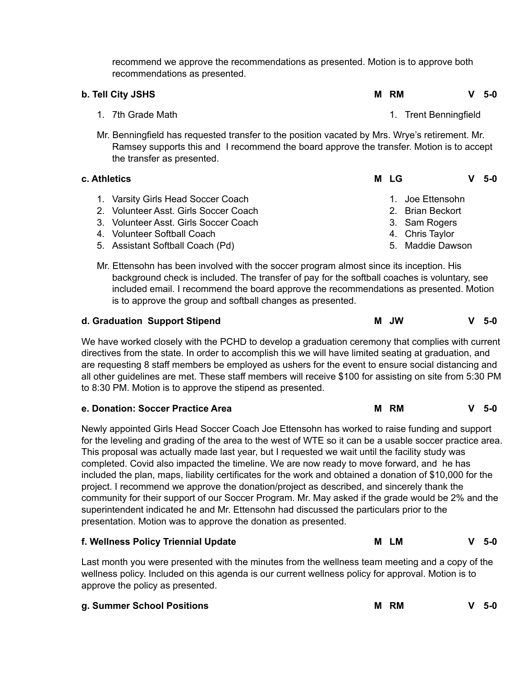recommend we approve the recommendations as presented. Motion is to approve both recommendations as presented.

| b. Tell City JSHS                                                                                                                                                                                                        | м | <b>RM</b> |                       | v | 5-0 |
|--------------------------------------------------------------------------------------------------------------------------------------------------------------------------------------------------------------------------|---|-----------|-----------------------|---|-----|
| 1. 7th Grade Math                                                                                                                                                                                                        |   |           | 1. Trent Benningfield |   |     |
| Mr. Benningfield has requested transfer to the position vacated by Mrs. Wrye's retirement. Mr.<br>Ramsey supports this and I recommend the board approve the transfer. Motion is to accept<br>the transfer as presented. |   |           |                       |   |     |
| c. Athletics                                                                                                                                                                                                             | м | LG        |                       | v | 5-0 |
| 1. Varsity Girls Head Soccer Coach                                                                                                                                                                                       |   | 1         | Joe Ettensohn         |   |     |
| 2. Volunteer Asst. Girls Soccer Coach                                                                                                                                                                                    |   |           | 2. Brian Beckort      |   |     |
| 3. Volunteer Asst. Girls Soccer Coach                                                                                                                                                                                    |   |           | 3. Sam Rogers         |   |     |
| 4. Volunteer Softball Coach                                                                                                                                                                                              |   |           | 4. Chris Taylor       |   |     |
| 5. Assistant Softball Coach (Pd)                                                                                                                                                                                         |   |           |                       |   |     |

Mr. Ettensohn has been involved with the soccer program almost since its inception. His background check is included. The transfer of pay for the softball coaches is voluntary, see included email. I recommend the board approve the recommendations as presented. Motion is to approve the group and softball changes as presented.

| d. Graduation Support Stipend | <b>M</b> JW | $V$ 5-0 |  |
|-------------------------------|-------------|---------|--|
|                               |             |         |  |

We have worked closely with the PCHD to develop a graduation ceremony that complies with current directives from the state. In order to accomplish this we will have limited seating at graduation, and are requesting 8 staff members be employed as ushers for the event to ensure social distancing and all other guidelines are met. These staff members will receive \$100 for assisting on site from 5:30 PM to 8:30 PM. Motion is to approve the stipend as presented.

| M RM | $V$ 5-0 |
|------|---------|
|      |         |

Newly appointed Girls Head Soccer Coach Joe Ettensohn has worked to raise funding and support for the leveling and grading of the area to the west of WTE so it can be a usable soccer practice area. This proposal was actually made last year, but I requested we wait until the facility study was completed. Covid also impacted the timeline. We are now ready to move forward, and he has included the plan, maps, liability certificates for the work and obtained a donation of \$10,000 for the project. I recommend we approve the donation/project as described, and sincerely thank the community for their support of our Soccer Program. Mr. May asked if the grade would be 2% and the superintendent indicated he and Mr. Ettensohn had discussed the particulars prior to the presentation. Motion was to approve the donation as presented.

| f. Wellness Policy Triennial Update                                                                | <b>LM</b><br>м | $V$ 5-0 |  |
|----------------------------------------------------------------------------------------------------|----------------|---------|--|
| Last month you were presented with the minutes from the wellness team meeting and a copy of the    |                |         |  |
| wellness policy. Included on this agenda is our current wellness policy for approval. Motion is to |                |         |  |

wellness policy. Included on this agenda is our current wellness policy for approval. Motion is to approve the policy as presented.

| g. Summer School Positions | M RM | $V$ 5-0 |
|----------------------------|------|---------|
|                            |      |         |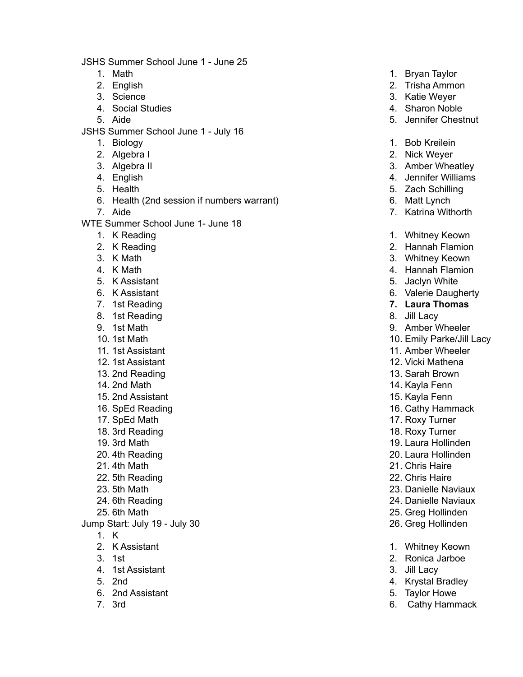JSHS Summer School June 1 - June 25

- 1. Math
- 2. E n glis h
- 3. S cie n c e
- 4. Social Studies
- 5. Aid e
- JSHS Summer School June 1 July 16
	- 1. Biolo g y
	- 2. Algebra l
	- 3. Algebra II
	- 4. English
	- 5. Health
	- 6. Health (2nd session if numbers warrant)
	- 7. Aid e

WTE Summer School June 1- June 18

- 1. K R e a din g
- 2. K Reading
- 3. K Math
- 4. K Math
- 5. K Assistant
- 6. K Assistant
- 7. 1st Reading
- 8. 1st Reading
- 9. 1st Math
- 10. 1st Math
- 11. 1st Assistant
- 12. 1st Assistant
- 13. 2nd Reading
- 14. 2nd Math
- 15. 2nd Assistant
- 16. SpEd Reading
- 17. SpEd Math
- 1 8. 3 r d R e a din g
- 1 9. 3 r d M a t h
- 20. 4th Reading
- 21. 4th Math
- 22. 5th Reading
- 23. 5th Math
- 24. 6th Reading
- 2 5. 6 t h M a t h
- Jump Start: July 19 July 30
	- 1. K
	- 2. K Assistant
	- 3. 1 s t
	- 4. 1st Assistant
	- 5. 2 n d
	- 6. 2nd Assistant
	- 7. 3 r d
- 1. Bryan Taylor
- 2. Trisha Ammon
- 3. Katie Weyer
- 4. Sharon Noble
- 5. Jennifer Chestnut
- 1. B o b K r eilein
- 2. Nick Weyer
- 3. Amber Wheatley
- 4. Jennifer Williams
- 5. Zach Schilling
- 6. Matt Lynch
- 7. Katrina Withorth
- 1. Whitney Keown
- 2. Hannah Flamion
- 3. Whitney Keown
- 4. Hannah Flamion
- 5. J a cly n W hit e
- 6. Valerie Daugherty
- **7.** Laura Thomas
- 8. Jill Lacy
- 9. Amber Wheeler
- 10. Emily Parke/Jill Lacy
- 11. Amber Wheeler
- 12. Vicki Mathena
- 13. Sarah Brown
- 14. Kayla Fenn
- 15. Kayla Fenn
- 16. Cathy Hammack
- 17. Roxy Turner
- 18. Roxy Turner
- 19. Laura Hollinden
- 20. Laura Hollinden
- 2 1. C h ris H air e
- 22. Chris Haire
- 23. Danielle Naviaux
- 24. Danielle Naviaux
- 25. Greg Hollinden
- 26. Greg Hollinden
- 1. Whitney Keown
- 2. Ronica Jarboe
- 3. Jill Lacy
- 4. Krystal Bradley
- 5. Taylor Howe
- 6. Cathy Hammack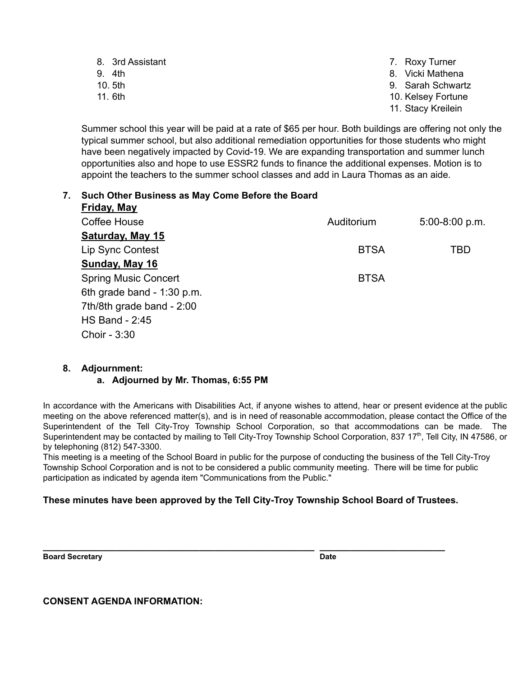| 8. 3rd Assistant | 7. Roxy Turner     |
|------------------|--------------------|
| 9. 4th           | 8. Vicki Mathena   |
| 10. 5th          | 9. Sarah Schwartz  |
| 11. 6th          | 10. Kelsey Fortune |

11. Stacy Kreilein

Summer school this year will be paid at a rate of \$65 per hour. Both buildings are offering not only the typical summer school, but also additional remediation opportunities for those students who might have been negatively impacted by Covid-19. We are expanding transportation and summer lunch opportunities also and hope to use ESSR2 funds to finance the additional expenses. Motion is to appoint the teachers to the summer school classes and add in Laura Thomas as an aide.

#### **7. Such Other Business as May Come Before the Board Friday, May**

| <u>Liuay, May</u>           |             |                  |
|-----------------------------|-------------|------------------|
| Coffee House                | Auditorium  | $5:00-8:00 p.m.$ |
| Saturday, May 15            |             |                  |
| <b>Lip Sync Contest</b>     | <b>BTSA</b> | TBD              |
| Sunday, May 16              |             |                  |
| <b>Spring Music Concert</b> | <b>BTSA</b> |                  |
| 6th grade band - 1:30 p.m.  |             |                  |
| 7th/8th grade band - 2:00   |             |                  |
| <b>HS Band - 2:45</b>       |             |                  |
| Choir - 3:30                |             |                  |

## **8. Adjournment:**

## **a. Adjourned by Mr. Thomas, 6:55 PM**

In accordance with the Americans with Disabilities Act, if anyone wishes to attend, hear or present evidence at the public meeting on the above referenced matter(s), and is in need of reasonable accommodation, please contact the Office of the Superintendent of the Tell City-Troy Township School Corporation, so that accommodations can be made. The Superintendent may be contacted by mailing to Tell City-Troy Township School Corporation, 837 17<sup>th</sup>, Tell City, IN 47586, or by telephoning (812) 547-3300.

This meeting is a meeting of the School Board in public for the purpose of conducting the business of the Tell City-Troy Township School Corporation and is not to be considered a public community meeting. There will be time for public participation as indicated by agenda item "Communications from the Public."

# **These minutes have been approved by the Tell City-Troy Township School Board of Trustees.**

**\_\_\_\_\_\_\_\_\_\_\_\_\_\_\_\_\_\_\_\_\_\_\_\_\_\_\_\_\_\_\_\_\_\_\_\_\_\_\_\_\_\_\_\_\_\_\_\_\_\_\_\_ \_\_\_\_\_\_\_\_\_\_\_\_\_\_\_\_\_\_\_\_\_\_\_\_**

**Board Secretary Date** 

**CONSENT AGENDA INFORMATION:**